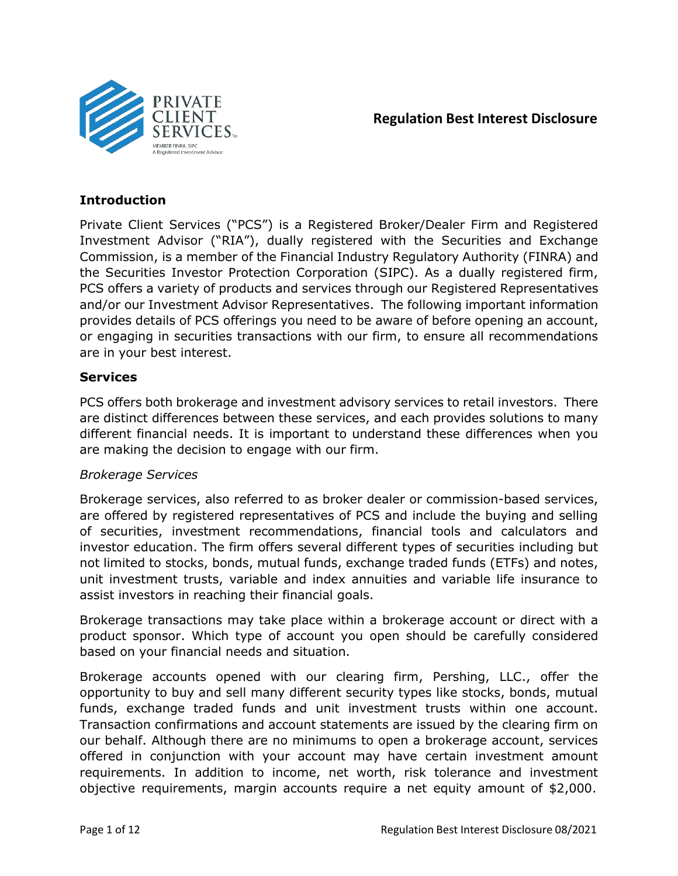

# **Regulation Best Interest Disclosure**

### **Introduction**

Private Client Services ("PCS") is a Registered Broker/Dealer Firm and Registered Investment Advisor ("RIA"), dually registered with the Securities and Exchange Commission, is a member of the Financial Industry Regulatory Authority (FINRA) and the Securities Investor Protection Corporation (SIPC). As a dually registered firm, PCS offers a variety of products and services through our Registered Representatives and/or our Investment Advisor Representatives. The following important information provides details of PCS offerings you need to be aware of before opening an account, or engaging in securities transactions with our firm, to ensure all recommendations are in your best interest.

### **Services**

PCS offers both brokerage and investment advisory services to retail investors. There are distinct differences between these services, and each provides solutions to many different financial needs. It is important to understand these differences when you are making the decision to engage with our firm.

### *Brokerage Services*

Brokerage services, also referred to as broker dealer or commission-based services, are offered by registered representatives of PCS and include the buying and selling of securities, investment recommendations, financial tools and calculators and investor education. The firm offers several different types of securities including but not limited to stocks, bonds, mutual funds, exchange traded funds (ETFs) and notes, unit investment trusts, variable and index annuities and variable life insurance to assist investors in reaching their financial goals.

Brokerage transactions may take place within a brokerage account or direct with a product sponsor. Which type of account you open should be carefully considered based on your financial needs and situation.

Brokerage accounts opened with our clearing firm, Pershing, LLC., offer the opportunity to buy and sell many different security types like stocks, bonds, mutual funds, exchange traded funds and unit investment trusts within one account. Transaction confirmations and account statements are issued by the clearing firm on our behalf. Although there are no minimums to open a brokerage account, services offered in conjunction with your account may have certain investment amount requirements. In addition to income, net worth, risk tolerance and investment objective requirements, margin accounts require a net equity amount of \$2,000.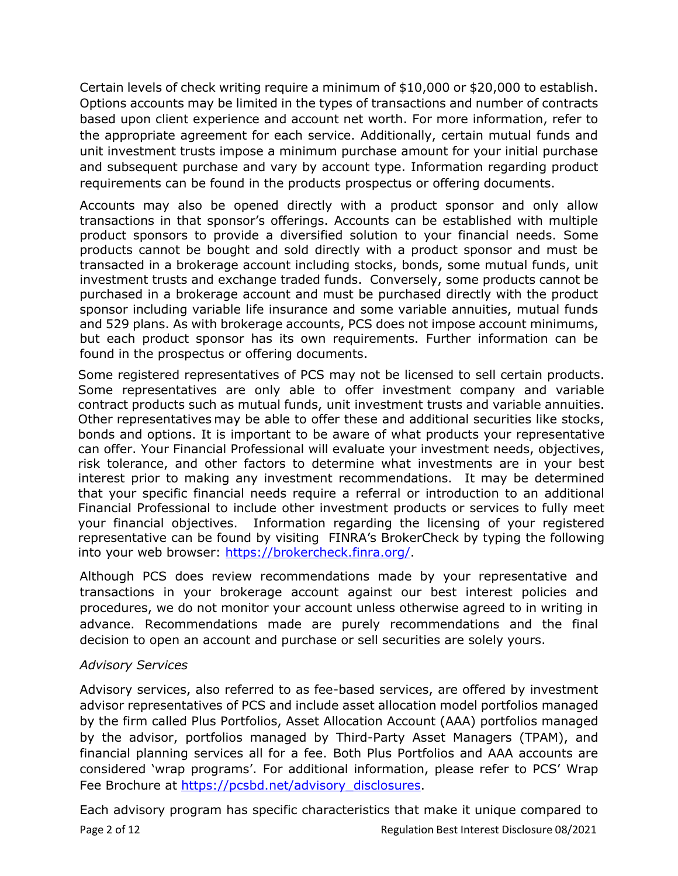Certain levels of check writing require a minimum of \$10,000 or \$20,000 to establish. Options accounts may be limited in the types of transactions and number of contracts based upon client experience and account net worth. For more information, refer to the appropriate agreement for each service. Additionally, certain mutual funds and unit investment trusts impose a minimum purchase amount for your initial purchase and subsequent purchase and vary by account type. Information regarding product requirements can be found in the products prospectus or offering documents.

Accounts may also be opened directly with a product sponsor and only allow transactions in that sponsor's offerings. Accounts can be established with multiple product sponsors to provide a diversified solution to your financial needs. Some products cannot be bought and sold directly with a product sponsor and must be transacted in a brokerage account including stocks, bonds, some mutual funds, unit investment trusts and exchange traded funds. Conversely, some products cannot be purchased in a brokerage account and must be purchased directly with the product sponsor including variable life insurance and some variable annuities, mutual funds and 529 plans. As with brokerage accounts, PCS does not impose account minimums, but each product sponsor has its own requirements. Further information can be found in the prospectus or offering documents.

Some registered representatives of PCS may not be licensed to sell certain products. Some representatives are only able to offer investment company and variable contract products such as mutual funds, unit investment trusts and variable annuities. Other representatives may be able to offer these and additional securities like stocks, bonds and options. It is important to be aware of what products your representative can offer. Your Financial Professional will evaluate your investment needs, objectives, risk tolerance, and other factors to determine what investments are in your best interest prior to making any investment recommendations. It may be determined that your specific financial needs require a referral or introduction to an additional Financial Professional to include other investment products or services to fully meet your financial objectives. Information regarding the licensing of your registered representative can be found by visiting FINRA's BrokerCheck by typing the following into your web browser: https://brokercheck.finra.org/

Although PCS does review recommendations made by your representative and transactions in your brokerage account against our best interest policies and procedures, we do not monitor your account unless otherwise agreed to in writing in advance. Recommendations made are purely recommendations and the final decision to open an account and purchase or sell securities are solely yours.

### *Advisory Services*

Advisory services, also referred to as fee-based services, are offered by investment advisor representatives of PCS and include asset allocation model portfolios managed by the firm called Plus Portfolios, Asset Allocation Account (AAA) portfolios managed by the advisor, portfolios managed by Third-Party Asset Managers (TPAM), and financial planning services all for a fee. Both Plus Portfolios and AAA accounts are considered 'wrap programs'. For additional information, please refer to PCS' Wrap Fee Brochure at [https://pcsbd.net/advisory\\_disclosures.](https://pcsbd.net/advisory_disclosures)

Page 2 of 12 **Page 2 of 12** Regulation Best Interest Disclosure 08/2021 Each advisory program has specific characteristics that make it unique compared to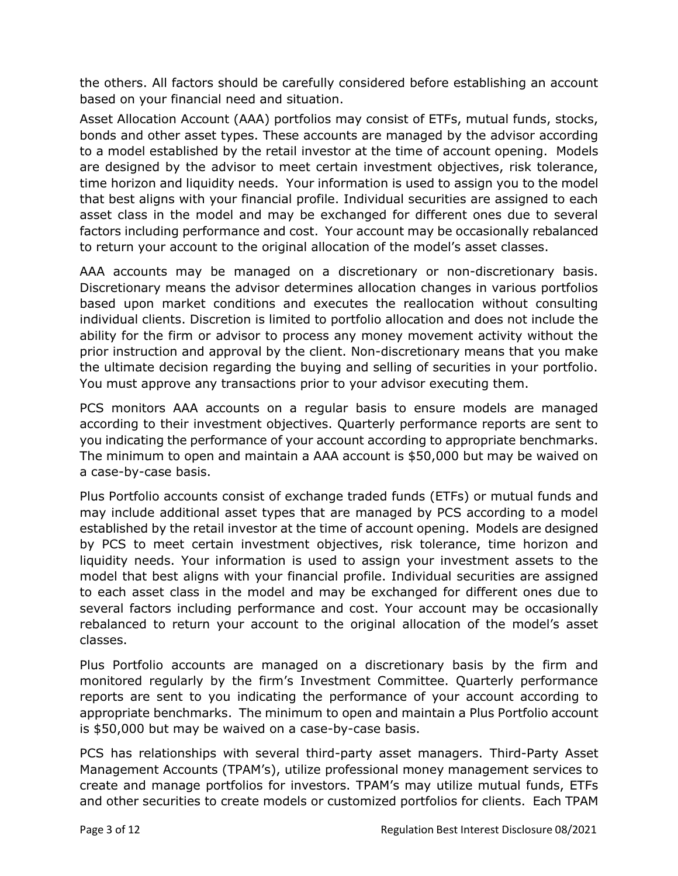the others. All factors should be carefully considered before establishing an account based on your financial need and situation.

Asset Allocation Account (AAA) portfolios may consist of ETFs, mutual funds, stocks, bonds and other asset types. These accounts are managed by the advisor according to a model established by the retail investor at the time of account opening. Models are designed by the advisor to meet certain investment objectives, risk tolerance, time horizon and liquidity needs. Your information is used to assign you to the model that best aligns with your financial profile. Individual securities are assigned to each asset class in the model and may be exchanged for different ones due to several factors including performance and cost. Your account may be occasionally rebalanced to return your account to the original allocation of the model's asset classes.

AAA accounts may be managed on a discretionary or non-discretionary basis. Discretionary means the advisor determines allocation changes in various portfolios based upon market conditions and executes the reallocation without consulting individual clients. Discretion is limited to portfolio allocation and does not include the ability for the firm or advisor to process any money movement activity without the prior instruction and approval by the client. Non-discretionary means that you make the ultimate decision regarding the buying and selling of securities in your portfolio. You must approve any transactions prior to your advisor executing them.

PCS monitors AAA accounts on a regular basis to ensure models are managed according to their investment objectives. Quarterly performance reports are sent to you indicating the performance of your account according to appropriate benchmarks. The minimum to open and maintain a AAA account is \$50,000 but may be waived on a case-by-case basis.

Plus Portfolio accounts consist of exchange traded funds (ETFs) or mutual funds and may include additional asset types that are managed by PCS according to a model established by the retail investor at the time of account opening. Models are designed by PCS to meet certain investment objectives, risk tolerance, time horizon and liquidity needs. Your information is used to assign your investment assets to the model that best aligns with your financial profile. Individual securities are assigned to each asset class in the model and may be exchanged for different ones due to several factors including performance and cost. Your account may be occasionally rebalanced to return your account to the original allocation of the model's asset classes.

Plus Portfolio accounts are managed on a discretionary basis by the firm and monitored regularly by the firm's Investment Committee. Quarterly performance reports are sent to you indicating the performance of your account according to appropriate benchmarks. The minimum to open and maintain a Plus Portfolio account is \$50,000 but may be waived on a case-by-case basis.

PCS has relationships with several third-party asset managers. Third-Party Asset Management Accounts (TPAM's), utilize professional money management services to create and manage portfolios for investors. TPAM's may utilize mutual funds, ETFs and other securities to create models or customized portfolios for clients. Each TPAM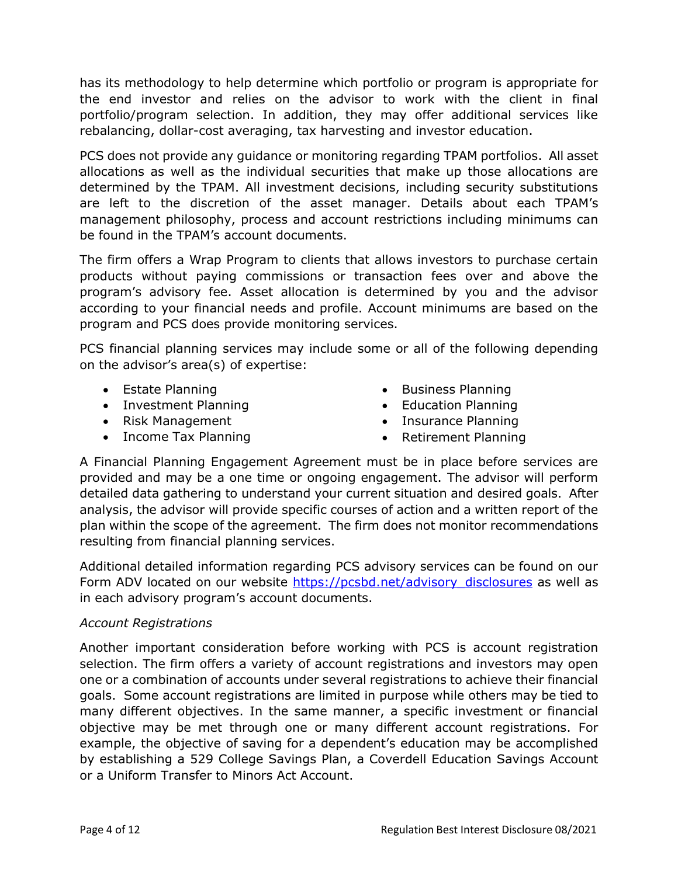has its methodology to help determine which portfolio or program is appropriate for the end investor and relies on the advisor to work with the client in final portfolio/program selection. In addition, they may offer additional services like rebalancing, dollar-cost averaging, tax harvesting and investor education.

PCS does not provide any guidance or monitoring regarding TPAM portfolios. All asset allocations as well as the individual securities that make up those allocations are determined by the TPAM. All investment decisions, including security substitutions are left to the discretion of the asset manager. Details about each TPAM's management philosophy, process and account restrictions including minimums can be found in the TPAM's account documents.

The firm offers a Wrap Program to clients that allows investors to purchase certain products without paying commissions or transaction fees over and above the program's advisory fee. Asset allocation is determined by you and the advisor according to your financial needs and profile. Account minimums are based on the program and PCS does provide monitoring services.

PCS financial planning services may include some or all of the following depending on the advisor's area(s) of expertise:

- Estate Planning
- Investment Planning
- Risk Management
- Income Tax Planning
- Business Planning
- Education Planning
- Insurance Planning
	- Retirement Planning

A Financial Planning Engagement Agreement must be in place before services are provided and may be a one time or ongoing engagement. The advisor will perform detailed data gathering to understand your current situation and desired goals. After analysis, the advisor will provide specific courses of action and a written report of the plan within the scope of the agreement. The firm does not monitor recommendations resulting from financial planning services.

Additional detailed information regarding PCS advisory services can be found on our Form ADV located on our website [https://pcsbd.net/advisory\\_disclosures](https://pcsbd.net/advisory_disclosures) as well as in each advisory program's account documents.

### *Account Registrations*

Another important consideration before working with PCS is account registration selection. The firm offers a variety of account registrations and investors may open one or a combination of accounts under several registrations to achieve their financial goals. Some account registrations are limited in purpose while others may be tied to many different objectives. In the same manner, a specific investment or financial objective may be met through one or many different account registrations. For example, the objective of saving for a dependent's education may be accomplished by establishing a 529 College Savings Plan, a Coverdell Education Savings Account or a Uniform Transfer to Minors Act Account.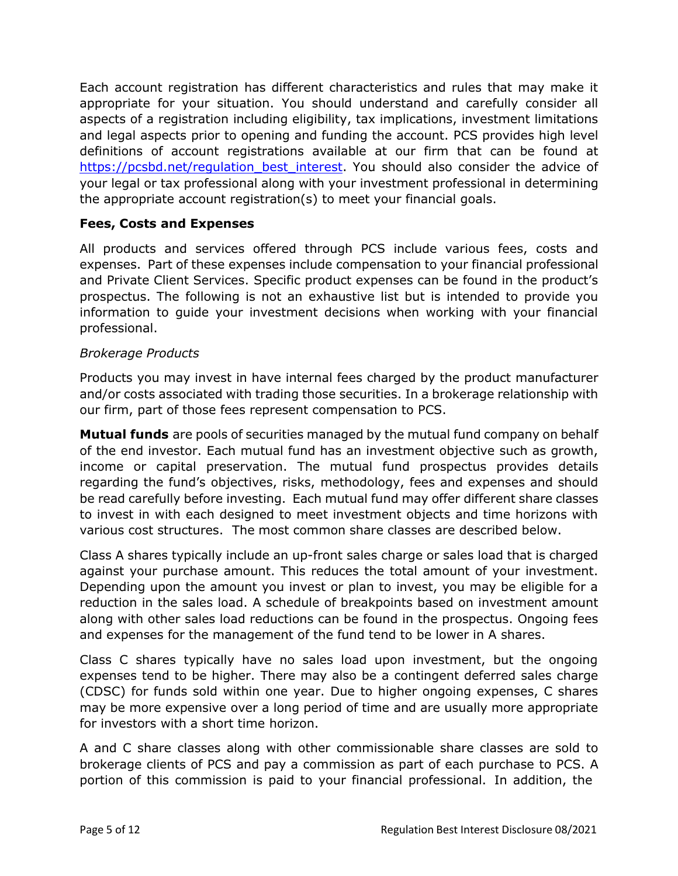Each account registration has different characteristics and rules that may make it appropriate for your situation. You should understand and carefully consider all aspects of a registration including eligibility, tax implications, investment limitations and legal aspects prior to opening and funding the account. PCS provides high level definitions of account registrations available at our firm that can be found at [https://pcsbd.net/regulation\\_best\\_interest.](https://pcsbd.net/regulation_best_interest) You should also consider the advice of your legal or tax professional along with your investment professional in determining the appropriate account registration(s) to meet your financial goals.

#### **Fees, Costs and Expenses**

All products and services offered through PCS include various fees, costs and expenses. Part of these expenses include compensation to your financial professional and Private Client Services. Specific product expenses can be found in the product's prospectus. The following is not an exhaustive list but is intended to provide you information to guide your investment decisions when working with your financial professional.

#### *Brokerage Products*

Products you may invest in have internal fees charged by the product manufacturer and/or costs associated with trading those securities. In a brokerage relationship with our firm, part of those fees represent compensation to PCS.

**Mutual funds** are pools of securities managed by the mutual fund company on behalf of the end investor. Each mutual fund has an investment objective such as growth, income or capital preservation. The mutual fund prospectus provides details regarding the fund's objectives, risks, methodology, fees and expenses and should be read carefully before investing. Each mutual fund may offer different share classes to invest in with each designed to meet investment objects and time horizons with various cost structures. The most common share classes are described below.

Class A shares typically include an up-front sales charge or sales load that is charged against your purchase amount. This reduces the total amount of your investment. Depending upon the amount you invest or plan to invest, you may be eligible for a reduction in the sales load. A schedule of breakpoints based on investment amount along with other sales load reductions can be found in the prospectus. Ongoing fees and expenses for the management of the fund tend to be lower in A shares.

Class C shares typically have no sales load upon investment, but the ongoing expenses tend to be higher. There may also be a contingent deferred sales charge (CDSC) for funds sold within one year. Due to higher ongoing expenses, C shares may be more expensive over a long period of time and are usually more appropriate for investors with a short time horizon.

A and C share classes along with other commissionable share classes are sold to brokerage clients of PCS and pay a commission as part of each purchase to PCS. A portion of this commission is paid to your financial professional. In addition, the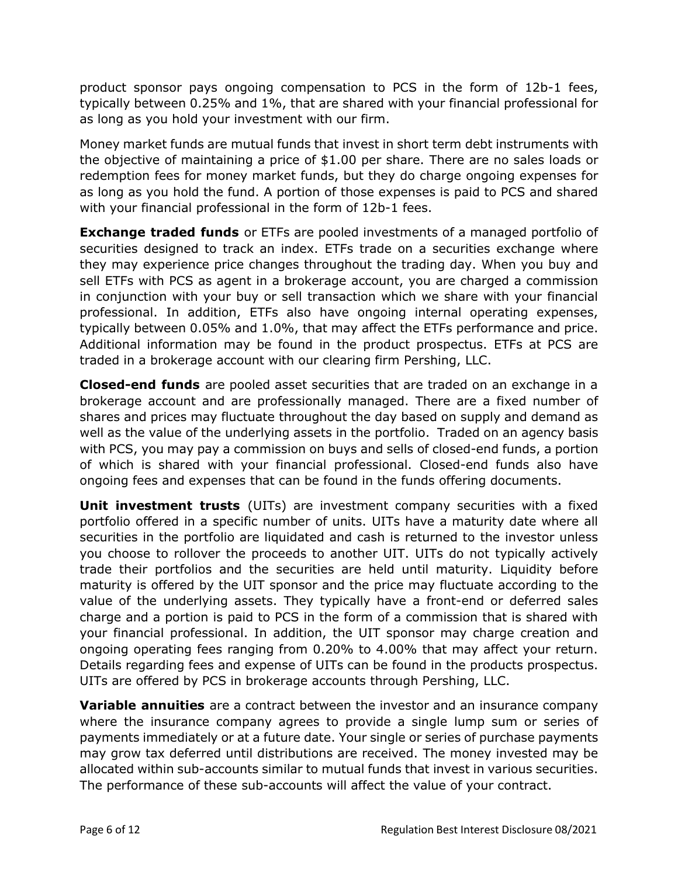product sponsor pays ongoing compensation to PCS in the form of 12b-1 fees, typically between 0.25% and 1%, that are shared with your financial professional for as long as you hold your investment with our firm.

Money market funds are mutual funds that invest in short term debt instruments with the objective of maintaining a price of \$1.00 per share. There are no sales loads or redemption fees for money market funds, but they do charge ongoing expenses for as long as you hold the fund. A portion of those expenses is paid to PCS and shared with your financial professional in the form of 12b-1 fees.

**Exchange traded funds** or ETFs are pooled investments of a managed portfolio of securities designed to track an index. ETFs trade on a securities exchange where they may experience price changes throughout the trading day. When you buy and sell ETFs with PCS as agent in a brokerage account, you are charged a commission in conjunction with your buy or sell transaction which we share with your financial professional. In addition, ETFs also have ongoing internal operating expenses, typically between 0.05% and 1.0%, that may affect the ETFs performance and price. Additional information may be found in the product prospectus. ETFs at PCS are traded in a brokerage account with our clearing firm Pershing, LLC.

**Closed-end funds** are pooled asset securities that are traded on an exchange in a brokerage account and are professionally managed. There are a fixed number of shares and prices may fluctuate throughout the day based on supply and demand as well as the value of the underlying assets in the portfolio. Traded on an agency basis with PCS, you may pay a commission on buys and sells of closed-end funds, a portion of which is shared with your financial professional. Closed-end funds also have ongoing fees and expenses that can be found in the funds offering documents.

**Unit investment trusts** (UITs) are investment company securities with a fixed portfolio offered in a specific number of units. UITs have a maturity date where all securities in the portfolio are liquidated and cash is returned to the investor unless you choose to rollover the proceeds to another UIT. UITs do not typically actively trade their portfolios and the securities are held until maturity. Liquidity before maturity is offered by the UIT sponsor and the price may fluctuate according to the value of the underlying assets. They typically have a front-end or deferred sales charge and a portion is paid to PCS in the form of a commission that is shared with your financial professional. In addition, the UIT sponsor may charge creation and ongoing operating fees ranging from 0.20% to 4.00% that may affect your return. Details regarding fees and expense of UITs can be found in the products prospectus. UITs are offered by PCS in brokerage accounts through Pershing, LLC.

**Variable annuities** are a contract between the investor and an insurance company where the insurance company agrees to provide a single lump sum or series of payments immediately or at a future date. Your single or series of purchase payments may grow tax deferred until distributions are received. The money invested may be allocated within sub-accounts similar to mutual funds that invest in various securities. The performance of these sub-accounts will affect the value of your contract.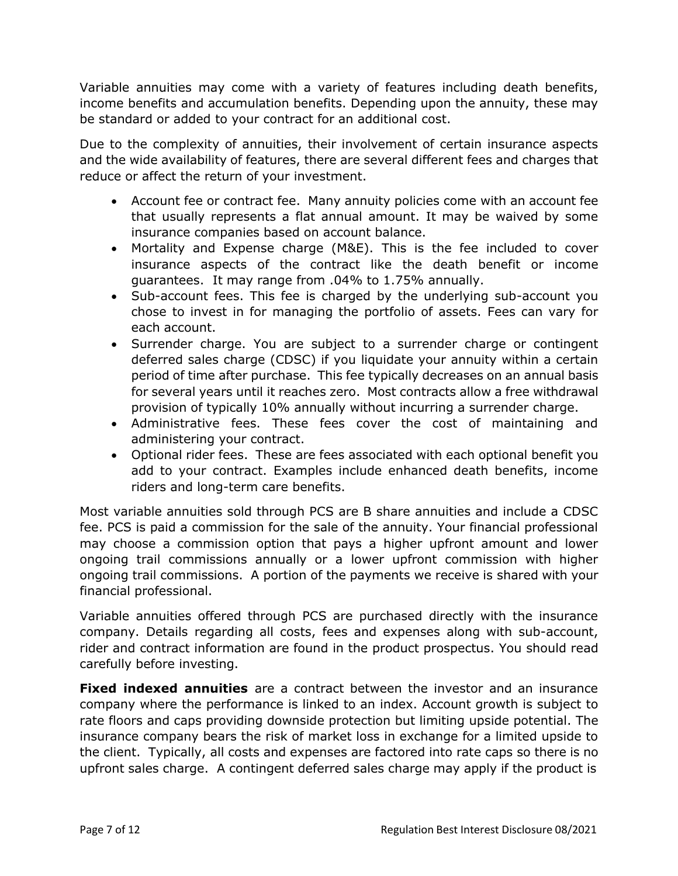Variable annuities may come with a variety of features including death benefits, income benefits and accumulation benefits. Depending upon the annuity, these may be standard or added to your contract for an additional cost.

Due to the complexity of annuities, their involvement of certain insurance aspects and the wide availability of features, there are several different fees and charges that reduce or affect the return of your investment.

- Account fee or contract fee. Many annuity policies come with an account fee that usually represents a flat annual amount. It may be waived by some insurance companies based on account balance.
- Mortality and Expense charge (M&E). This is the fee included to cover insurance aspects of the contract like the death benefit or income guarantees. It may range from .04% to 1.75% annually.
- Sub-account fees. This fee is charged by the underlying sub-account you chose to invest in for managing the portfolio of assets. Fees can vary for each account.
- Surrender charge. You are subject to a surrender charge or contingent deferred sales charge (CDSC) if you liquidate your annuity within a certain period of time after purchase. This fee typically decreases on an annual basis for several years until it reaches zero. Most contracts allow a free withdrawal provision of typically 10% annually without incurring a surrender charge.
- Administrative fees. These fees cover the cost of maintaining and administering your contract.
- Optional rider fees. These are fees associated with each optional benefit you add to your contract. Examples include enhanced death benefits, income riders and long-term care benefits.

Most variable annuities sold through PCS are B share annuities and include a CDSC fee. PCS is paid a commission for the sale of the annuity. Your financial professional may choose a commission option that pays a higher upfront amount and lower ongoing trail commissions annually or a lower upfront commission with higher ongoing trail commissions. A portion of the payments we receive is shared with your financial professional.

Variable annuities offered through PCS are purchased directly with the insurance company. Details regarding all costs, fees and expenses along with sub-account, rider and contract information are found in the product prospectus. You should read carefully before investing.

**Fixed indexed annuities** are a contract between the investor and an insurance company where the performance is linked to an index. Account growth is subject to rate floors and caps providing downside protection but limiting upside potential. The insurance company bears the risk of market loss in exchange for a limited upside to the client. Typically, all costs and expenses are factored into rate caps so there is no upfront sales charge. A contingent deferred sales charge may apply if the product is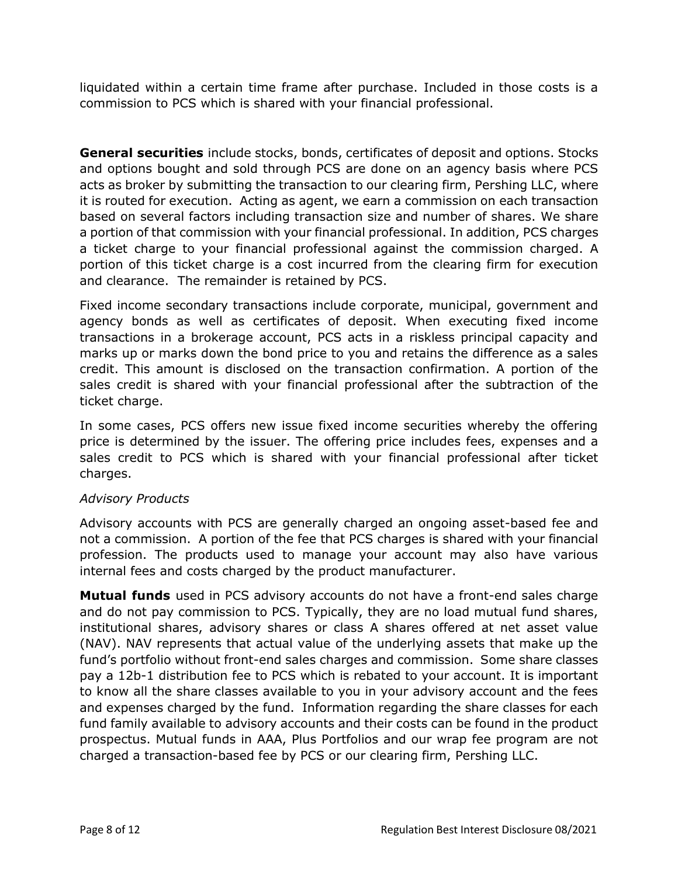liquidated within a certain time frame after purchase. Included in those costs is a commission to PCS which is shared with your financial professional.

**General securities** include stocks, bonds, certificates of deposit and options. Stocks and options bought and sold through PCS are done on an agency basis where PCS acts as broker by submitting the transaction to our clearing firm, Pershing LLC, where it is routed for execution. Acting as agent, we earn a commission on each transaction based on several factors including transaction size and number of shares. We share a portion of that commission with your financial professional. In addition, PCS charges a ticket charge to your financial professional against the commission charged. A portion of this ticket charge is a cost incurred from the clearing firm for execution and clearance. The remainder is retained by PCS.

Fixed income secondary transactions include corporate, municipal, government and agency bonds as well as certificates of deposit. When executing fixed income transactions in a brokerage account, PCS acts in a riskless principal capacity and marks up or marks down the bond price to you and retains the difference as a sales credit. This amount is disclosed on the transaction confirmation. A portion of the sales credit is shared with your financial professional after the subtraction of the ticket charge.

In some cases, PCS offers new issue fixed income securities whereby the offering price is determined by the issuer. The offering price includes fees, expenses and a sales credit to PCS which is shared with your financial professional after ticket charges.

### *Advisory Products*

Advisory accounts with PCS are generally charged an ongoing asset-based fee and not a commission. A portion of the fee that PCS charges is shared with your financial profession. The products used to manage your account may also have various internal fees and costs charged by the product manufacturer.

**Mutual funds** used in PCS advisory accounts do not have a front-end sales charge and do not pay commission to PCS. Typically, they are no load mutual fund shares, institutional shares, advisory shares or class A shares offered at net asset value (NAV). NAV represents that actual value of the underlying assets that make up the fund's portfolio without front-end sales charges and commission. Some share classes pay a 12b-1 distribution fee to PCS which is rebated to your account. It is important to know all the share classes available to you in your advisory account and the fees and expenses charged by the fund. Information regarding the share classes for each fund family available to advisory accounts and their costs can be found in the product prospectus. Mutual funds in AAA, Plus Portfolios and our wrap fee program are not charged a transaction-based fee by PCS or our clearing firm, Pershing LLC.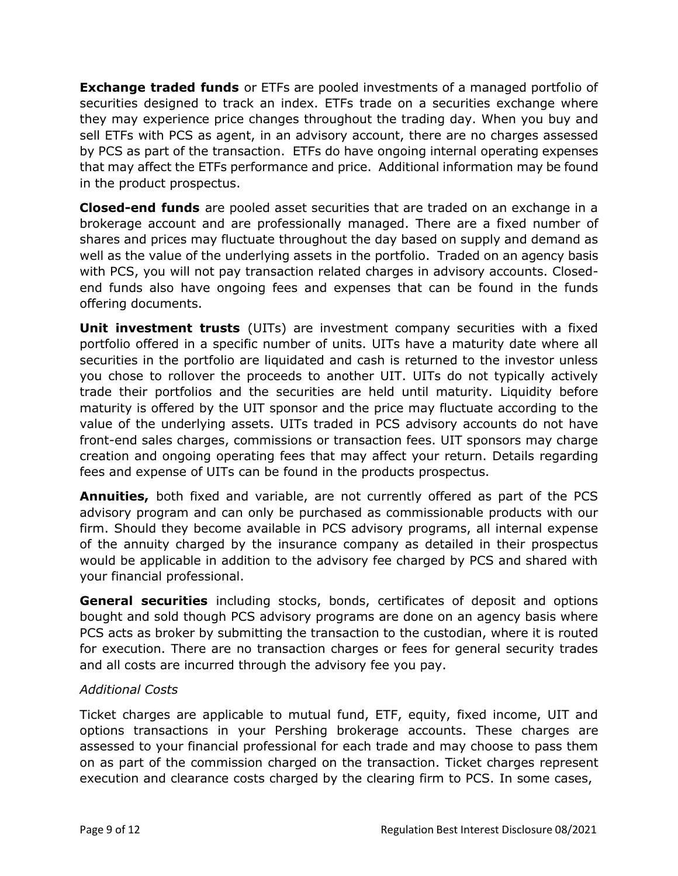**Exchange traded funds** or ETFs are pooled investments of a managed portfolio of securities designed to track an index. ETFs trade on a securities exchange where they may experience price changes throughout the trading day. When you buy and sell ETFs with PCS as agent, in an advisory account, there are no charges assessed by PCS as part of the transaction. ETFs do have ongoing internal operating expenses that may affect the ETFs performance and price. Additional information may be found in the product prospectus.

**Closed-end funds** are pooled asset securities that are traded on an exchange in a brokerage account and are professionally managed. There are a fixed number of shares and prices may fluctuate throughout the day based on supply and demand as well as the value of the underlying assets in the portfolio. Traded on an agency basis with PCS, you will not pay transaction related charges in advisory accounts. Closedend funds also have ongoing fees and expenses that can be found in the funds offering documents.

**Unit investment trusts** (UITs) are investment company securities with a fixed portfolio offered in a specific number of units. UITs have a maturity date where all securities in the portfolio are liquidated and cash is returned to the investor unless you chose to rollover the proceeds to another UIT. UITs do not typically actively trade their portfolios and the securities are held until maturity. Liquidity before maturity is offered by the UIT sponsor and the price may fluctuate according to the value of the underlying assets. UITs traded in PCS advisory accounts do not have front-end sales charges, commissions or transaction fees. UIT sponsors may charge creation and ongoing operating fees that may affect your return. Details regarding fees and expense of UITs can be found in the products prospectus.

**Annuities,** both fixed and variable, are not currently offered as part of the PCS advisory program and can only be purchased as commissionable products with our firm. Should they become available in PCS advisory programs, all internal expense of the annuity charged by the insurance company as detailed in their prospectus would be applicable in addition to the advisory fee charged by PCS and shared with your financial professional.

**General securities** including stocks, bonds, certificates of deposit and options bought and sold though PCS advisory programs are done on an agency basis where PCS acts as broker by submitting the transaction to the custodian, where it is routed for execution. There are no transaction charges or fees for general security trades and all costs are incurred through the advisory fee you pay.

# *Additional Costs*

Ticket charges are applicable to mutual fund, ETF, equity, fixed income, UIT and options transactions in your Pershing brokerage accounts. These charges are assessed to your financial professional for each trade and may choose to pass them on as part of the commission charged on the transaction. Ticket charges represent execution and clearance costs charged by the clearing firm to PCS. In some cases,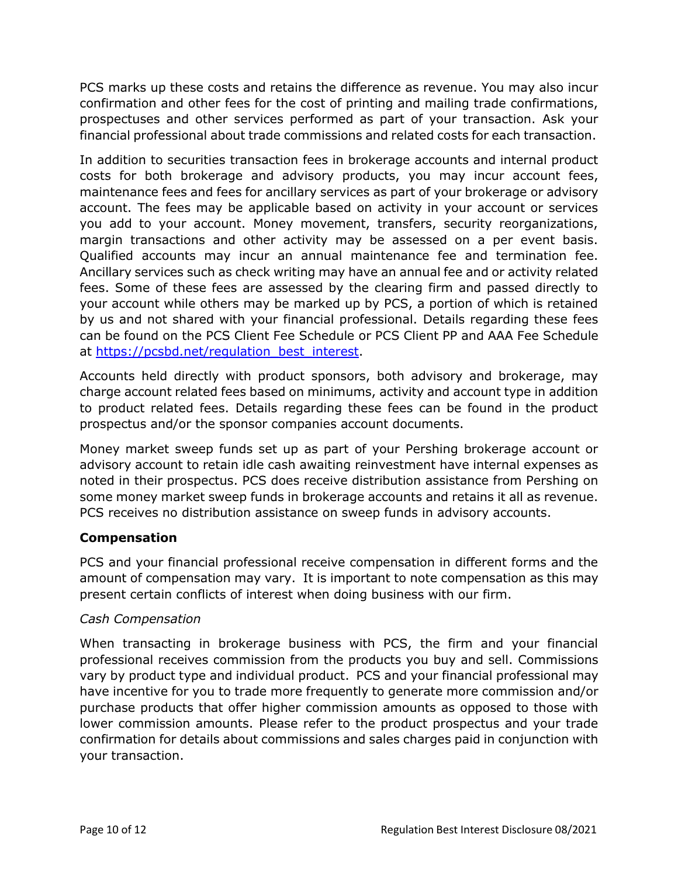PCS marks up these costs and retains the difference as revenue. You may also incur confirmation and other fees for the cost of printing and mailing trade confirmations, prospectuses and other services performed as part of your transaction. Ask your financial professional about trade commissions and related costs for each transaction.

In addition to securities transaction fees in brokerage accounts and internal product costs for both brokerage and advisory products, you may incur account fees, maintenance fees and fees for ancillary services as part of your brokerage or advisory account. The fees may be applicable based on activity in your account or services you add to your account. Money movement, transfers, security reorganizations, margin transactions and other activity may be assessed on a per event basis. Qualified accounts may incur an annual maintenance fee and termination fee. Ancillary services such as check writing may have an annual fee and or activity related fees. Some of these fees are assessed by the clearing firm and passed directly to your account while others may be marked up by PCS, a portion of which is retained by us and not shared with your financial professional. Details regarding these fees can be found on the PCS Client Fee Schedule or PCS Client PP and AAA Fee Schedule at [https://pcsbd.net/regulation\\_best\\_interest.](https://pcsbd.net/regulation_best_interest)

Accounts held directly with product sponsors, both advisory and brokerage, may charge account related fees based on minimums, activity and account type in addition to product related fees. Details regarding these fees can be found in the product prospectus and/or the sponsor companies account documents.

Money market sweep funds set up as part of your Pershing brokerage account or advisory account to retain idle cash awaiting reinvestment have internal expenses as noted in their prospectus. PCS does receive distribution assistance from Pershing on some money market sweep funds in brokerage accounts and retains it all as revenue. PCS receives no distribution assistance on sweep funds in advisory accounts.

# **Compensation**

PCS and your financial professional receive compensation in different forms and the amount of compensation may vary. It is important to note compensation as this may present certain conflicts of interest when doing business with our firm.

# *Cash Compensation*

When transacting in brokerage business with PCS, the firm and your financial professional receives commission from the products you buy and sell. Commissions vary by product type and individual product. PCS and your financial professional may have incentive for you to trade more frequently to generate more commission and/or purchase products that offer higher commission amounts as opposed to those with lower commission amounts. Please refer to the product prospectus and your trade confirmation for details about commissions and sales charges paid in conjunction with your transaction.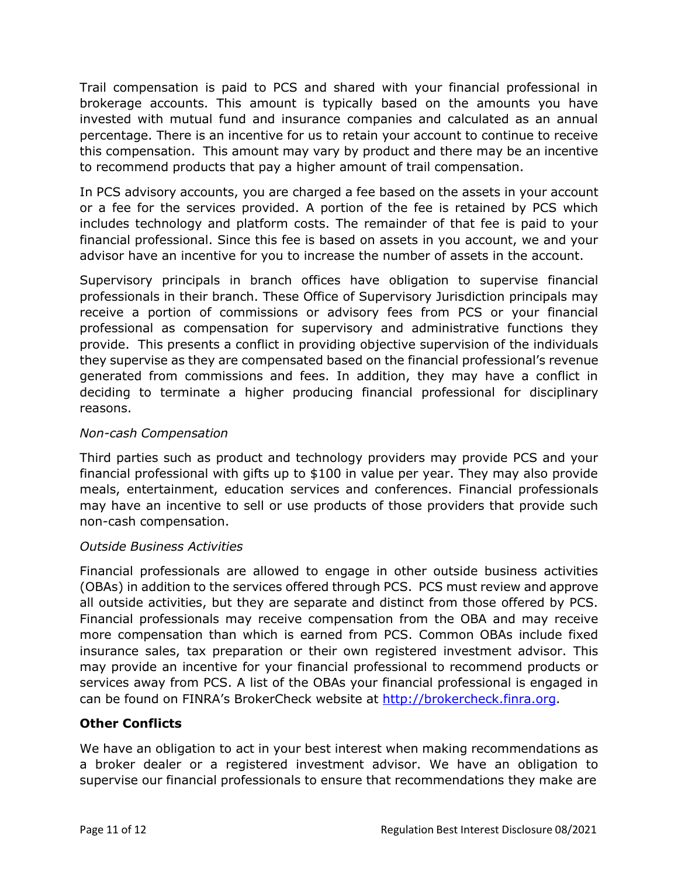Trail compensation is paid to PCS and shared with your financial professional in brokerage accounts. This amount is typically based on the amounts you have invested with mutual fund and insurance companies and calculated as an annual percentage. There is an incentive for us to retain your account to continue to receive this compensation. This amount may vary by product and there may be an incentive to recommend products that pay a higher amount of trail compensation.

In PCS advisory accounts, you are charged a fee based on the assets in your account or a fee for the services provided. A portion of the fee is retained by PCS which includes technology and platform costs. The remainder of that fee is paid to your financial professional. Since this fee is based on assets in you account, we and your advisor have an incentive for you to increase the number of assets in the account.

Supervisory principals in branch offices have obligation to supervise financial professionals in their branch. These Office of Supervisory Jurisdiction principals may receive a portion of commissions or advisory fees from PCS or your financial professional as compensation for supervisory and administrative functions they provide. This presents a conflict in providing objective supervision of the individuals they supervise as they are compensated based on the financial professional's revenue generated from commissions and fees. In addition, they may have a conflict in deciding to terminate a higher producing financial professional for disciplinary reasons.

### *Non-cash Compensation*

Third parties such as product and technology providers may provide PCS and your financial professional with gifts up to \$100 in value per year. They may also provide meals, entertainment, education services and conferences. Financial professionals may have an incentive to sell or use products of those providers that provide such non-cash compensation.

### *Outside Business Activities*

Financial professionals are allowed to engage in other outside business activities (OBAs) in addition to the services offered through PCS. PCS must review and approve all outside activities, but they are separate and distinct from those offered by PCS. Financial professionals may receive compensation from the OBA and may receive more compensation than which is earned from PCS. Common OBAs include fixed insurance sales, tax preparation or their own registered investment advisor. This may provide an incentive for your financial professional to recommend products or services away from PCS. A list of the OBAs your financial professional is engaged in can be found on FINRA's BrokerCheck website at [http://brokercheck.finra.org.](http://brokercheck.finra.org/)

# **Other Conflicts**

We have an obligation to act in your best interest when making recommendations as a broker dealer or a registered investment advisor. We have an obligation to supervise our financial professionals to ensure that recommendations they make are